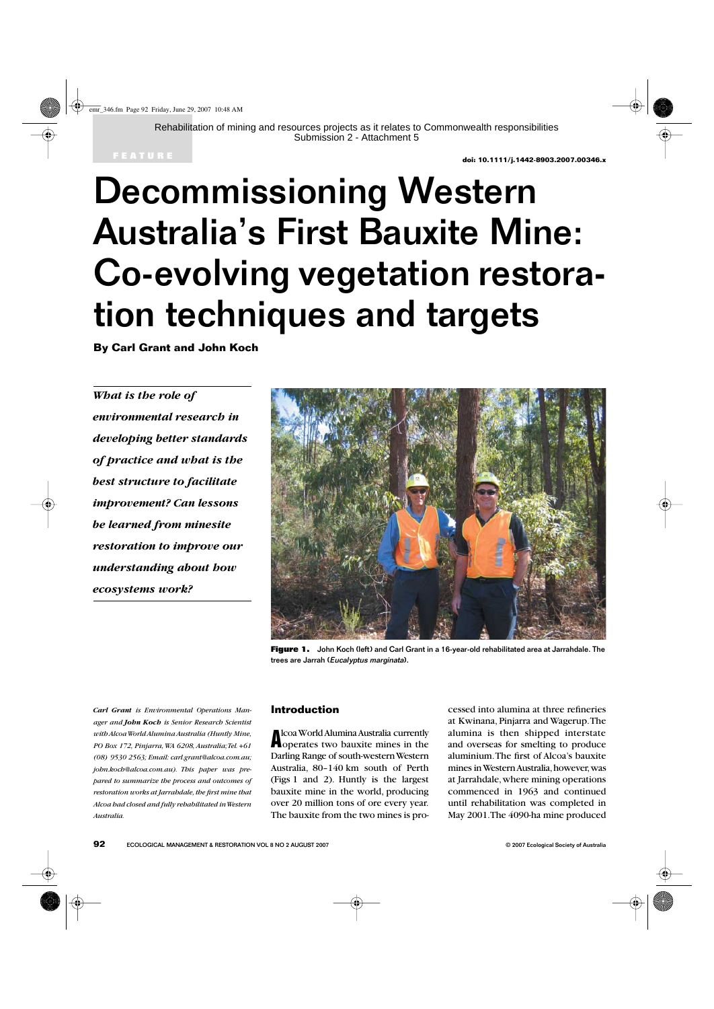#### **doi: 10.1111/j.1442-8903.2007.00346.x**

# **Decommissioning Western** Australia's First Bauxite Mine: Co-evolving vegetation restoration techniques and targets

**By Carl Grant and John Koch**

*What is the role of environmental research in developing better standards of practice and what is the best structure to facilitate improvement? Can lessons be learned from minesite restoration to improve our understanding about how ecosystems work?*



**Figure 1.** John Koch (left) and Carl Grant in a 16-year-old rehabilitated area at Jarrahdale. The trees are Jarrah (*Eucalyptus marginata*).

Carl Grant is Environmental Operations Man*ager and John Koch is Senior Research Scientist with Alcoa World Alumina Australia (Huntly Mine, PO Box 172, Pinjarra, WA 6208, Australia; Tel. +61 (08) 9530 2563; Email: carl.grant@alcoa.com.au; john.koch@alcoa.com.au). This paper was prepared to summarize the process and outcomes of restoration works at Jarrahdale, the first mine that Alcoa had closed and fully rehabilitated in Western Australia.*

### **Introduction**

**A** lcoa World Alumina Australia currently<br>**A** operates two bauxite mines in the lcoa World Alumina Australia currently Darling Range of south-western Western Australia, 80–140 km south of Perth (Figs 1 and 2). Huntly is the largest bauxite mine in the world, producing over 20 million tons of ore every year. The bauxite from the two mines is processed into alumina at three refineries at Kwinana, Pinjarra and Wagerup. The alumina is then shipped interstate and overseas for smelting to produce aluminium. The first of Alcoa's bauxite mines in Western Australia, however, was at Jarrahdale, where mining operations commenced in 1963 and continued until rehabilitation was completed in May 2001. The 4090-ha mine produced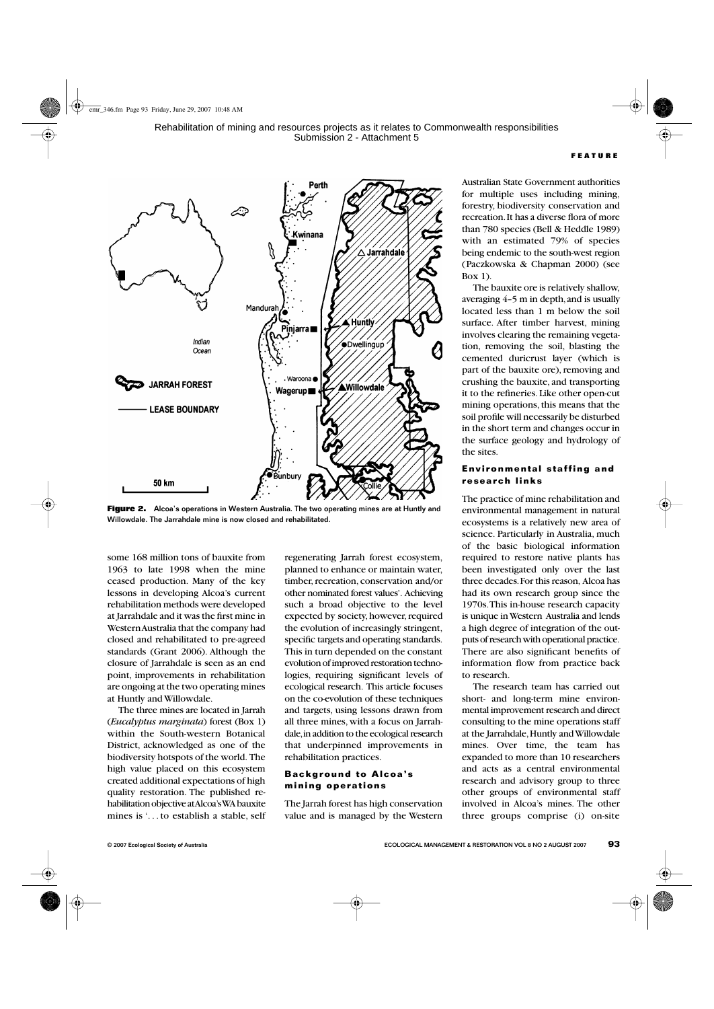

**Figure 2.** Alcoa's operations in Western Australia. The two operating mines are at Huntly and Willowdale. The Jarrahdale mine is now closed and rehabilitated.

some 168 million tons of bauxite from 1963 to late 1998 when the mine ceased production. Many of the key lessons in developing Alcoa's current rehabilitation methods were developed at Jarrahdale and it was the first mine in Western Australia that the company had closed and rehabilitated to pre-agreed standards (Grant 2006). Although the closure of Jarrahdale is seen as an end point, improvements in rehabilitation are ongoing at the two operating mines at Huntly and Willowdale.

The three mines are located in Jarrah (*Eucalyptus marginata*) forest (Box 1) within the South-western Botanical District, acknowledged as one of the biodiversity hotspots of the world. The high value placed on this ecosystem created additional expectations of high quality restoration. The published rehabilitation objective at Alcoa's WA bauxite mines is '. . . to establish a stable, self regenerating Jarrah forest ecosystem, planned to enhance or maintain water, timber, recreation, conservation and/or other nominated forest values'. Achieving such a broad objective to the level expected by society, however, required the evolution of increasingly stringent, specific targets and operating standards. This in turn depended on the constant evolution of improved restoration technologies, requiring significant levels of ecological research. This article focuses on the co-evolution of these techniques and targets, using lessons drawn from all three mines, with a focus on Jarrahdale, in addition to the ecological research that underpinned improvements in rehabilitation practices.

### **Background to Alcoa's mining operations**

The Jarrah forest has high conservation value and is managed by the Western

Australian State Government authorities for multiple uses including mining, forestry, biodiversity conservation and recreation. It has a diverse flora of more than 780 species (Bell & Heddle 1989) with an estimated 79% of species being endemic to the south-west region (Paczkowska & Chapman 2000) (see Box 1).

The bauxite ore is relatively shallow, averaging 4–5 m in depth, and is usually located less than 1 m below the soil surface. After timber harvest, mining involves clearing the remaining vegetation, removing the soil, blasting the cemented duricrust layer (which is part of the bauxite ore), removing and crushing the bauxite, and transporting it to the refineries. Like other open-cut mining operations, this means that the soil profile will necessarily be disturbed in the short term and changes occur in the surface geology and hydrology of the sites.

### **Environmental staffing and research links**

The practice of mine rehabilitation and environmental management in natural ecosystems is a relatively new area of science. Particularly in Australia, much of the basic biological information required to restore native plants has been investigated only over the last three decades. For this reason, Alcoa has had its own research group since the 1970s. This in-house research capacity is unique in Western Australia and lends a high degree of integration of the outputs of research with operational practice. There are also significant benefits of information flow from practice back to research.

The research team has carried out short- and long-term mine environmental improvement research and direct consulting to the mine operations staff at the Jarrahdale, Huntly and Willowdale mines. Over time, the team has expanded to more than 10 researchers and acts as a central environmental research and advisory group to three other groups of environmental staff involved in Alcoa's mines. The other three groups comprise (i) on-site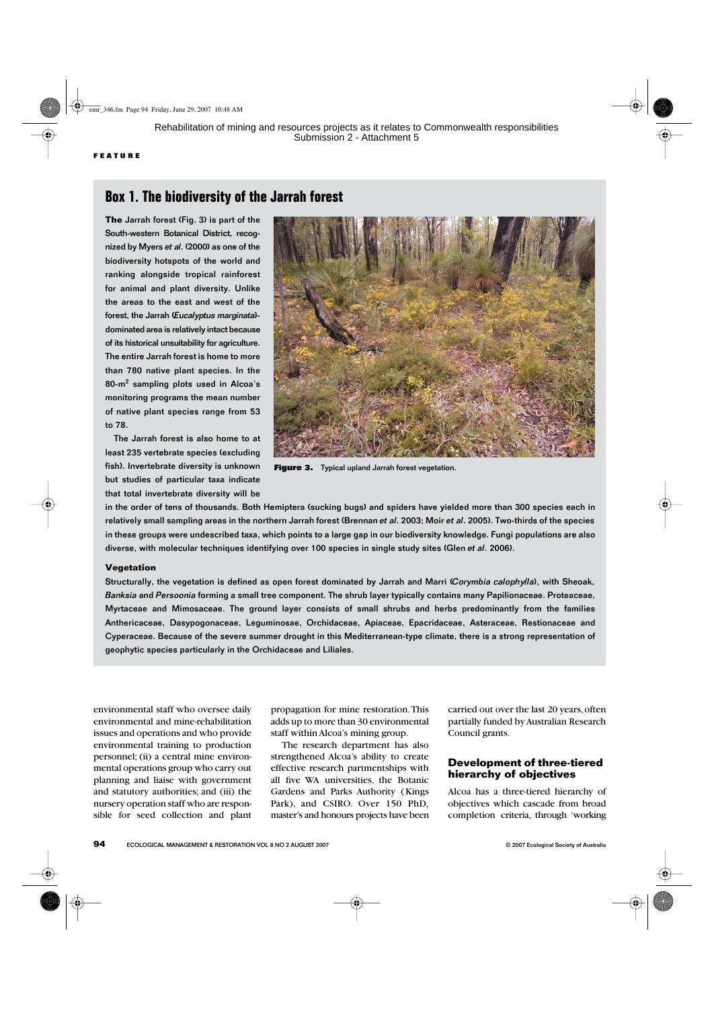# **Box 1. The biodiversity of the Jarrah forest**

**The** Jarrah forest (Fig. 3) is part of the South-western Botanical District, recognized by Myers *et al.* (2000) as one of the biodiversity hotspots of the world and ranking alongside tropical rainforest for animal and plant diversity. Unlike the areas to the east and west of the forest, the Jarrah (*Eucalyptus marginata*) dominated area is relatively intact because of its historical unsuitability for agriculture. The entire Jarrah forest is home to more than 780 native plant species. In the 80-m<sup>2</sup> sampling plots used in Alcoa's monitoring programs the mean number of native plant species range from 53 to 78.

The Jarrah forest is also home to at least 235 vertebrate species (excluding fish). Invertebrate diversity is unknown but studies of particular taxa indicate that total invertebrate diversity will be



**Figure 3.** Typical upland Jarrah forest vegetation.

in the order of tens of thousands. Both Hemiptera (sucking bugs) and spiders have yielded more than 300 species each in relatively small sampling areas in the northern Jarrah forest (Brennan *et al*. 2003; Moir *et al*. 2005). Two-thirds of the species in these groups were undescribed taxa, which points to a large gap in our biodiversity knowledge. Fungi populations are also diverse, with molecular techniques identifying over 100 species in single study sites (Glen *et al*. 2006).

### **Vegetation**

Structurally, the vegetation is defined as open forest dominated by Jarrah and Marri (*Corymbia calophylla*), with Sheoak, *Banksia* and *Persoonia* forming a small tree component. The shrub layer typically contains many Papilionaceae. Proteaceae, Myrtaceae and Mimosaceae. The ground layer consists of small shrubs and herbs predominantly from the families Anthericaceae, Dasypogonaceae, Leguminosae, Orchidaceae, Apiaceae, Epacridaceae, Asteraceae, Restionaceae and Cyperaceae. Because of the severe summer drought in this Mediterranean-type climate, there is a strong representation of geophytic species particularly in the Orchidaceae and Liliales.

environmental staff who oversee daily environmental and mine-rehabilitation issues and operations and who provide environmental training to production personnel; (ii) a central mine environmental operations group who carry out planning and liaise with government and statutory authorities; and (iii) the nursery operation staff who are responsible for seed collection and plant

propagation for mine restoration. This adds up to more than 30 environmental staff within Alcoa's mining group.

The research department has also strengthened Alcoa's ability to create effective research partmentships with all five WA universities, the Botanic Gardens and Parks Authority (Kings Park), and CSIRO. Over 150 PhD, master's and honours projects have been carried out over the last 20 years, often partially funded by Australian Research Council grants.

# **Development of three-tiered hierarchy of objectives**

Alcoa has a three-tiered hierarchy of objectives which cascade from broad completion criteria, through 'working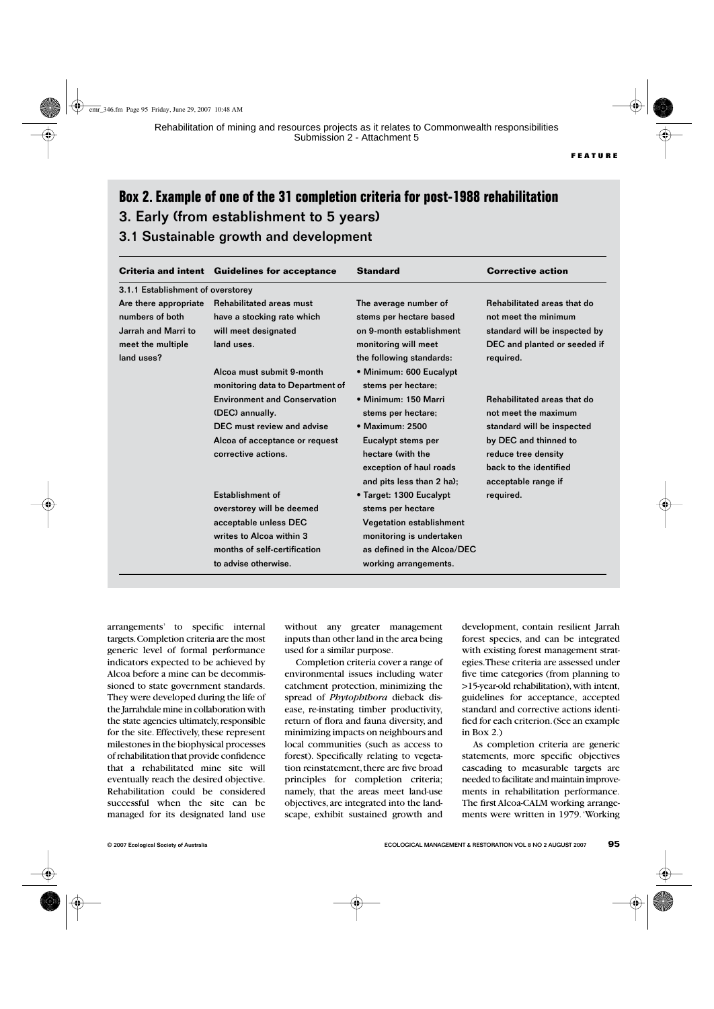# **Box 2. Example of one of the 31 completion criteria for post-1988 rehabilitation** 3. Early (from establishment to 5 years) 3.1 Sustainable growth and development

|                                                                                                    | Criteria and intent Guidelines for acceptance                                                                                                                        | <b>Standard</b>                                                                                                                                                                   | <b>Corrective action</b>                                                                                                                                                           |
|----------------------------------------------------------------------------------------------------|----------------------------------------------------------------------------------------------------------------------------------------------------------------------|-----------------------------------------------------------------------------------------------------------------------------------------------------------------------------------|------------------------------------------------------------------------------------------------------------------------------------------------------------------------------------|
| 3.1.1 Establishment of overstorey                                                                  |                                                                                                                                                                      |                                                                                                                                                                                   |                                                                                                                                                                                    |
| Are there appropriate<br>numbers of both<br>Jarrah and Marri to<br>meet the multiple<br>land uses? | <b>Rehabilitated areas must</b><br>have a stocking rate which<br>will meet designated<br>land uses.<br>Alcoa must submit 9-month<br>monitoring data to Department of | The average number of<br>stems per hectare based<br>on 9-month establishment<br>monitoring will meet<br>the following standards:<br>• Minimum: 600 Eucalypt<br>stems per hectare; | Rehabilitated areas that do<br>not meet the minimum<br>standard will be inspected by<br>DEC and planted or seeded if<br>required.                                                  |
|                                                                                                    | <b>Environment and Conservation</b><br>(DEC) annually.<br>DEC must review and advise<br>Alcoa of acceptance or request<br>corrective actions.                        | • Minimum: 150 Marri<br>stems per hectare;<br>$\bullet$ Maximum: 2500<br>Eucalypt stems per<br>hectare (with the<br>exception of haul roads<br>and pits less than 2 ha);          | Rehabilitated areas that do<br>not meet the maximum<br>standard will be inspected<br>by DEC and thinned to<br>reduce tree density<br>back to the identified<br>acceptable range if |
|                                                                                                    | <b>Establishment of</b><br>overstorey will be deemed<br>acceptable unless DEC<br>writes to Alcoa within 3<br>months of self-certification<br>to advise otherwise.    | • Target: 1300 Eucalypt<br>stems per hectare<br>Vegetation establishment<br>monitoring is undertaken<br>as defined in the Alcoa/DEC<br>working arrangements.                      | required.                                                                                                                                                                          |

arrangements' to specific internal targets. Completion criteria are the most generic level of formal performance indicators expected to be achieved by Alcoa before a mine can be decommissioned to state government standards. They were developed during the life of the Jarrahdale mine in collaboration with the state agencies ultimately, responsible for the site. Effectively, these represent milestones in the biophysical processes of rehabilitation that provide confidence that a rehabilitated mine site will eventually reach the desired objective. Rehabilitation could be considered successful when the site can be managed for its designated land use

without any greater management inputs than other land in the area being used for a similar purpose.

Completion criteria cover a range of environmental issues including water catchment protection, minimizing the spread of *Phytophthora* dieback disease, re-instating timber productivity, return of flora and fauna diversity, and minimizing impacts on neighbours and local communities (such as access to forest). Specifically relating to vegetation reinstatement, there are five broad principles for completion criteria; namely, that the areas meet land-use objectives, are integrated into the landscape, exhibit sustained growth and

development, contain resilient Jarrah forest species, and can be integrated with existing forest management strategies. These criteria are assessed under five time categories (from planning to >15-year-old rehabilitation), with intent, guidelines for acceptance, accepted standard and corrective actions identified for each criterion. (See an example in Box 2.)

As completion criteria are generic statements, more specific objectives cascading to measurable targets are needed to facilitate and maintain improvements in rehabilitation performance. The first Alcoa-CALM working arrangements were written in 1979. 'Working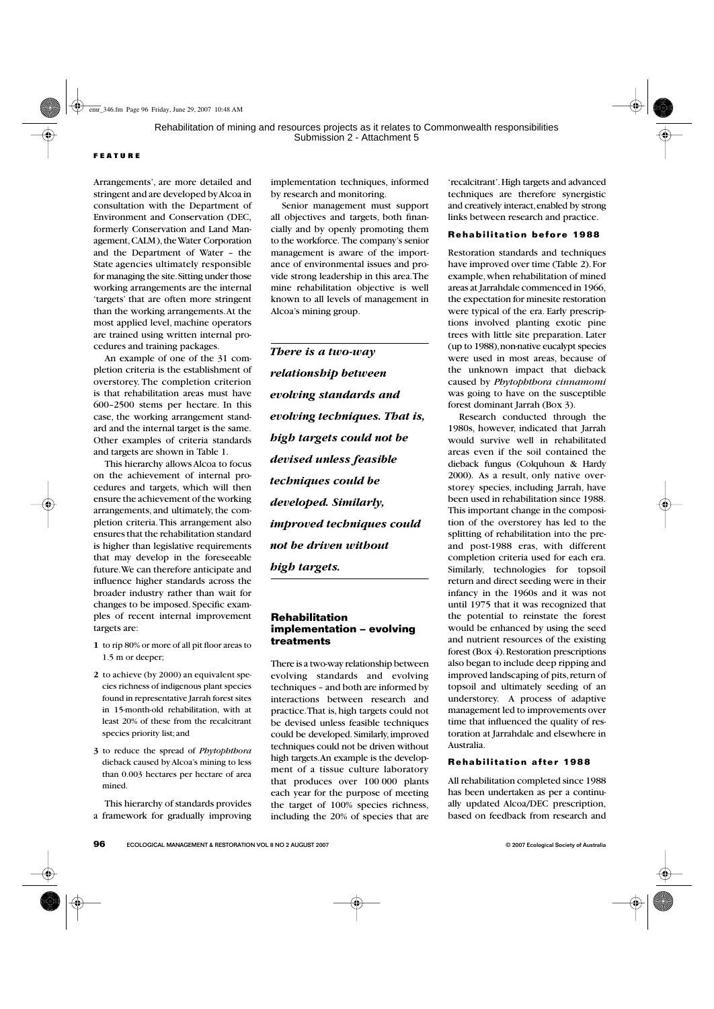#### **FEATURE**

Arrangements', are more detailed and stringent and are developed by Alcoa in consultation with the Department of Environment and Conservation (DEC, formerly Conservation and Land Management, CALM), the Water Corporation and the Department of Water – the State agencies ultimately responsible for managing the site. Sitting under those working arrangements are the internal 'targets' that are often more stringent than the working arrangements. At the most applied level, machine operators are trained using written internal procedures and training packages.

An example of one of the 31 completion criteria is the establishment of overstorey. The completion criterion is that rehabilitation areas must have 600–2500 stems per hectare. In this case, the working arrangement standard and the internal target is the same. Other examples of criteria standards and targets are shown in Table 1.

This hierarchy allows Alcoa to focus on the achievement of internal procedures and targets, which will then ensure the achievement of the working arrangements, and ultimately, the completion criteria. This arrangement also ensures that the rehabilitation standard is higher than legislative requirements that may develop in the foreseeable future. We can therefore anticipate and influence higher standards across the broader industry rather than wait for changes to be imposed. Specific examples of recent internal improvement targets are:

- **1** to rip 80% or more of all pit floor areas to 1.5 m or deeper;
- **2** to achieve (by 2000) an equivalent species richness of indigenous plant species found in representative Jarrah forest sites in 15-month-old rehabilitation, with at least 20% of these from the recalcitrant species priority list; and
- **3** to reduce the spread of *Phytophthora* dieback caused by Alcoa's mining to less than 0.003 hectares per hectare of area mined.

This hierarchy of standards provides a framework for gradually improving

implementation techniques, informed by research and monitoring.

Senior management must support all objectives and targets, both financially and by openly promoting them to the workforce. The company's senior management is aware of the importance of environmental issues and provide strong leadership in this area. The mine rehabilitation objective is well known to all levels of management in Alcoa's mining group.

*There is a two-way relationship between evolving standards and evolving techniques. That is, high targets could not be devised unless feasible techniques could be developed. Similarly, improved techniques could not be driven without high targets.*

### **Rehabilitation implementation – evolving treatments**

There is a two-way relationship between evolving standards and evolving techniques – and both are informed by interactions between research and practice. That is, high targets could not be devised unless feasible techniques could be developed. Similarly, improved techniques could not be driven without high targets. An example is the development of a tissue culture laboratory that produces over 100 000 plants each year for the purpose of meeting the target of 100% species richness, including the 20% of species that are

'recalcitrant'. High targets and advanced techniques are therefore synergistic and creatively interact, enabled by strong links between research and practice.

### **Rehabilitation before 1988**

Restoration standards and techniques have improved over time (Table 2). For example, when rehabilitation of mined areas at Jarrahdale commenced in 1966, the expectation for minesite restoration were typical of the era. Early prescriptions involved planting exotic pine trees with little site preparation. Later (up to 1988), non-native eucalypt species were used in most areas, because of the unknown impact that dieback caused by *Phytophthora cinnamomi* was going to have on the susceptible forest dominant Jarrah (Box 3).

Research conducted through the 1980s, however, indicated that Jarrah would survive well in rehabilitated areas even if the soil contained the dieback fungus (Colquhoun & Hardy 2000). As a result, only native overstorey species, including Jarrah, have been used in rehabilitation since 1988. This important change in the composition of the overstorey has led to the splitting of rehabilitation into the preand post-1988 eras, with different completion criteria used for each era. Similarly, technologies for topsoil return and direct seeding were in their infancy in the 1960s and it was not until 1975 that it was recognized that the potential to reinstate the forest would be enhanced by using the seed and nutrient resources of the existing forest (Box 4). Restoration prescriptions also began to include deep ripping and improved landscaping of pits, return of topsoil and ultimately seeding of an understorey. A process of adaptive management led to improvements over time that influenced the quality of restoration at Jarrahdale and elsewhere in Australia.

### **Rehabilitation after 1988**

All rehabilitation completed since 1988 has been undertaken as per a continually updated Alcoa/DEC prescription, based on feedback from research and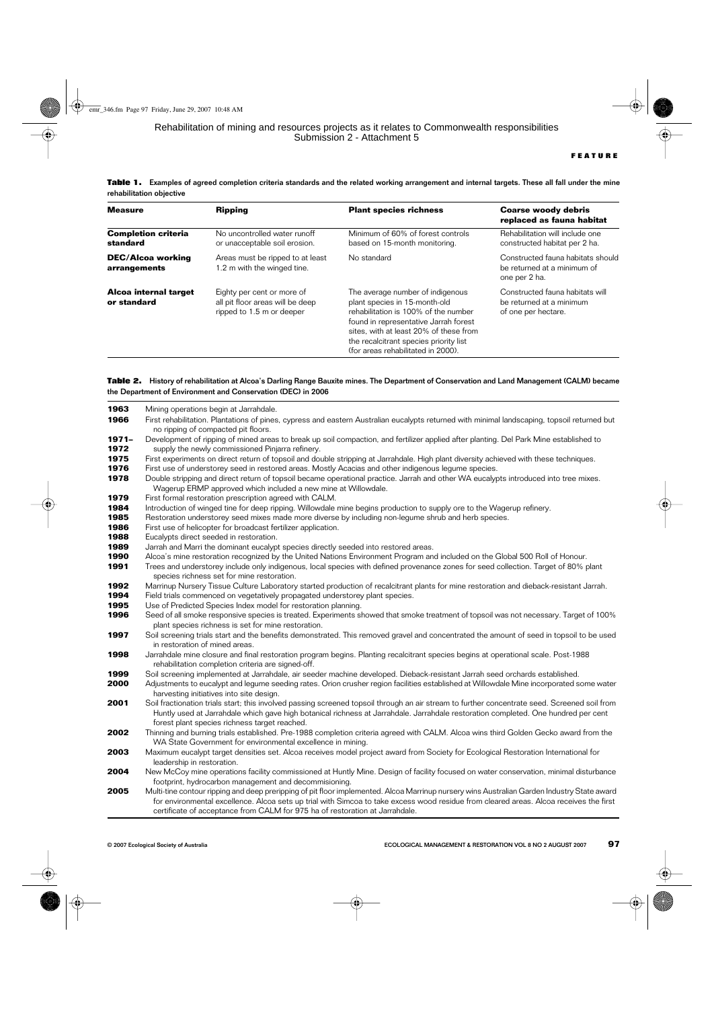| <b>Measure</b>                           | <b>Ripping</b>                                                                              | <b>Plant species richness</b>                                                                                                                                                                                                                                                | <b>Coarse woody debris</b><br>replaced as fauna habitat                            |
|------------------------------------------|---------------------------------------------------------------------------------------------|------------------------------------------------------------------------------------------------------------------------------------------------------------------------------------------------------------------------------------------------------------------------------|------------------------------------------------------------------------------------|
| <b>Completion criteria</b><br>standard   | No uncontrolled water runoff<br>or unacceptable soil erosion.                               | Minimum of 60% of forest controls<br>based on 15-month monitoring.                                                                                                                                                                                                           | Rehabilitation will include one<br>constructed habitat per 2 ha.                   |
| <b>DEC/Alcoa working</b><br>arrangements | Areas must be ripped to at least<br>1.2 m with the winged tine.                             | No standard                                                                                                                                                                                                                                                                  | Constructed fauna habitats should<br>be returned at a minimum of<br>one per 2 ha.  |
| Alcoa internal target<br>or standard     | Eighty per cent or more of<br>all pit floor areas will be deep<br>ripped to 1.5 m or deeper | The average number of indigenous<br>plant species in 15-month-old<br>rehabilitation is 100% of the number<br>found in representative Jarrah forest<br>sites, with at least 20% of these from<br>the recalcitrant species priority list<br>(for areas rehabilitated in 2000). | Constructed fauna habitats will<br>be returned at a minimum<br>of one per hectare. |

**Table 1.** Examples of agreed completion criteria standards and the related working arrangement and internal targets. These all fall under the mine rehabilitation objective

### **Table 2.** History of rehabilitation at Alcoa's Darling Range Bauxite mines. The Department of Conservation and Land Management (CALM) became the Department of Environment and Conservation (DEC) in 2006

| 1963    | Mining operations begin at Jarrahdale.                                                                                                                                                                                                                                                                                                                                |
|---------|-----------------------------------------------------------------------------------------------------------------------------------------------------------------------------------------------------------------------------------------------------------------------------------------------------------------------------------------------------------------------|
| 1966    | First rehabilitation. Plantations of pines, cypress and eastern Australian eucalypts returned with minimal landscaping, topsoil returned but<br>no ripping of compacted pit floors.                                                                                                                                                                                   |
| $1971-$ | Development of ripping of mined areas to break up soil compaction, and fertilizer applied after planting. Del Park Mine established to                                                                                                                                                                                                                                |
| 1972    | supply the newly commissioned Pinjarra refinery.                                                                                                                                                                                                                                                                                                                      |
| 1975    | First experiments on direct return of topsoil and double stripping at Jarrahdale. High plant diversity achieved with these techniques.                                                                                                                                                                                                                                |
| 1976    | First use of understorey seed in restored areas. Mostly Acacias and other indigenous legume species.                                                                                                                                                                                                                                                                  |
| 1978    | Double stripping and direct return of topsoil became operational practice. Jarrah and other WA eucalypts introduced into tree mixes.<br>Wagerup ERMP approved which included a new mine at Willowdale.                                                                                                                                                                |
| 1979    | First formal restoration prescription agreed with CALM.                                                                                                                                                                                                                                                                                                               |
| 1984    | Introduction of winged tine for deep ripping. Willowdale mine begins production to supply ore to the Wagerup refinery.                                                                                                                                                                                                                                                |
| 1985    | Restoration understorey seed mixes made more diverse by including non-legume shrub and herb species.                                                                                                                                                                                                                                                                  |
| 1986    | First use of helicopter for broadcast fertilizer application.                                                                                                                                                                                                                                                                                                         |
| 1988    | Eucalypts direct seeded in restoration.                                                                                                                                                                                                                                                                                                                               |
| 1989    | Jarrah and Marri the dominant eucalypt species directly seeded into restored areas.                                                                                                                                                                                                                                                                                   |
| 1990    | Alcoa's mine restoration recognized by the United Nations Environment Program and included on the Global 500 Roll of Honour.                                                                                                                                                                                                                                          |
| 1991    | Trees and understorey include only indigenous, local species with defined provenance zones for seed collection. Target of 80% plant<br>species richness set for mine restoration.                                                                                                                                                                                     |
| 1992    | Marrinup Nursery Tissue Culture Laboratory started production of recalcitrant plants for mine restoration and dieback-resistant Jarrah.                                                                                                                                                                                                                               |
| 1994    | Field trials commenced on vegetatively propagated understorey plant species.                                                                                                                                                                                                                                                                                          |
| 1995    | Use of Predicted Species Index model for restoration planning.                                                                                                                                                                                                                                                                                                        |
| 1996    | Seed of all smoke responsive species is treated. Experiments showed that smoke treatment of topsoil was not necessary. Target of 100%<br>plant species richness is set for mine restoration.                                                                                                                                                                          |
| 1997    | Soil screening trials start and the benefits demonstrated. This removed gravel and concentrated the amount of seed in topsoil to be used<br>in restoration of mined areas.                                                                                                                                                                                            |
| 1998    | Jarrahdale mine closure and final restoration program begins. Planting recalcitrant species begins at operational scale. Post-1988<br>rehabilitation completion criteria are signed-off.                                                                                                                                                                              |
| 1999    | Soil screening implemented at Jarrahdale, air seeder machine developed. Dieback-resistant Jarrah seed orchards established.                                                                                                                                                                                                                                           |
| 2000    | Adjustments to eucalypt and legume seeding rates. Orion crusher region facilities established at Willowdale Mine incorporated some water<br>harvesting initiatives into site design.                                                                                                                                                                                  |
| 2001    | Soil fractionation trials start; this involved passing screened topsoil through an air stream to further concentrate seed. Screened soil from<br>Huntly used at Jarrahdale which gave high botanical richness at Jarrahdale. Jarrahdale restoration completed. One hundred per cent<br>forest plant species richness target reached.                                  |
| 2002    | Thinning and burning trials established. Pre-1988 completion criteria agreed with CALM. Alcoa wins third Golden Gecko award from the                                                                                                                                                                                                                                  |
|         | WA State Government for environmental excellence in mining.                                                                                                                                                                                                                                                                                                           |
| 2003    | Maximum eucalypt target densities set. Alcoa receives model project award from Society for Ecological Restoration International for<br>leadership in restoration.                                                                                                                                                                                                     |
| 2004    | New McCoy mine operations facility commissioned at Huntly Mine. Design of facility focused on water conservation, minimal disturbance<br>footprint, hydrocarbon management and decommisioning.                                                                                                                                                                        |
| 2005    | Multi-tine contour ripping and deep preripping of pit floor implemented. Alcoa Marrinup nursery wins Australian Garden Industry State award<br>for environmental excellence. Alcoa sets up trial with Simcoa to take excess wood residue from cleared areas. Alcoa receives the first<br>certificate of acceptance from CALM for 975 ha of restoration at Jarrahdale. |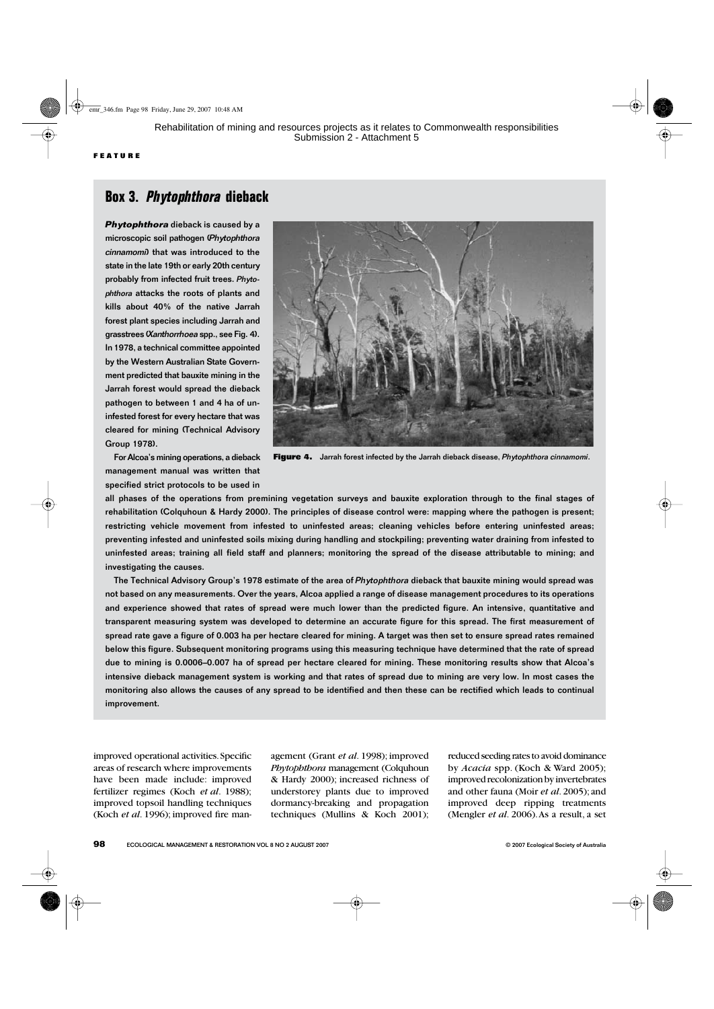# **Box 3.** *Phytophthora* **dieback**

**Phytophthora** dieback is caused by a microscopic soil pathogen (*Phytophthora cinnamomi*) that was introduced to the state in the late 19th or early 20th century probably from infected fruit trees. *Phytophthora* attacks the roots of plants and kills about 40% of the native Jarrah forest plant species including Jarrah and grasstrees (*Xanthorrhoea* spp., see Fig. 4). In 1978, a technical committee appointed by the Western Australian State Government predicted that bauxite mining in the Jarrah forest would spread the dieback pathogen to between 1 and 4 ha of uninfested forest for every hectare that was cleared for mining (Technical Advisory Group 1978).



For Alcoa's mining operations, a dieback management manual was written that specified strict protocols to be used in

**Figure 4.** Jarrah forest infected by the Jarrah dieback disease, *Phytophthora cinnamomi*.

all phases of the operations from premining vegetation surveys and bauxite exploration through to the final stages of rehabilitation (Colquhoun & Hardy 2000). The principles of disease control were: mapping where the pathogen is present; restricting vehicle movement from infested to uninfested areas; cleaning vehicles before entering uninfested areas; preventing infested and uninfested soils mixing during handling and stockpiling; preventing water draining from infested to uninfested areas; training all field staff and planners; monitoring the spread of the disease attributable to mining; and investigating the causes.

The Technical Advisory Group's 1978 estimate of the area of *Phytophthora* dieback that bauxite mining would spread was not based on any measurements. Over the years, Alcoa applied a range of disease management procedures to its operations and experience showed that rates of spread were much lower than the predicted figure. An intensive, quantitative and transparent measuring system was developed to determine an accurate figure for this spread. The first measurement of spread rate gave a figure of 0.003 ha per hectare cleared for mining. A target was then set to ensure spread rates remained below this figure. Subsequent monitoring programs using this measuring technique have determined that the rate of spread due to mining is 0.0006–0.007 ha of spread per hectare cleared for mining. These monitoring results show that Alcoa's intensive dieback management system is working and that rates of spread due to mining are very low. In most cases the monitoring also allows the causes of any spread to be identified and then these can be rectified which leads to continual improvement.

improved operational activities. Specific areas of research where improvements have been made include: improved fertilizer regimes (Koch *et al*. 1988); improved topsoil handling techniques (Koch *et al*. 1996); improved fire man-

agement (Grant *et al*. 1998); improved *Phytophthora* management (Colquhoun & Hardy 2000); increased richness of understorey plants due to improved dormancy-breaking and propagation techniques (Mullins & Koch 2001);

reduced seeding rates to avoid dominance by *Acacia* spp. (Koch & Ward 2005); improved recolonization by invertebrates and other fauna (Moir *et al*. 2005); and improved deep ripping treatments (Mengler *et al*. 2006). As a result, a set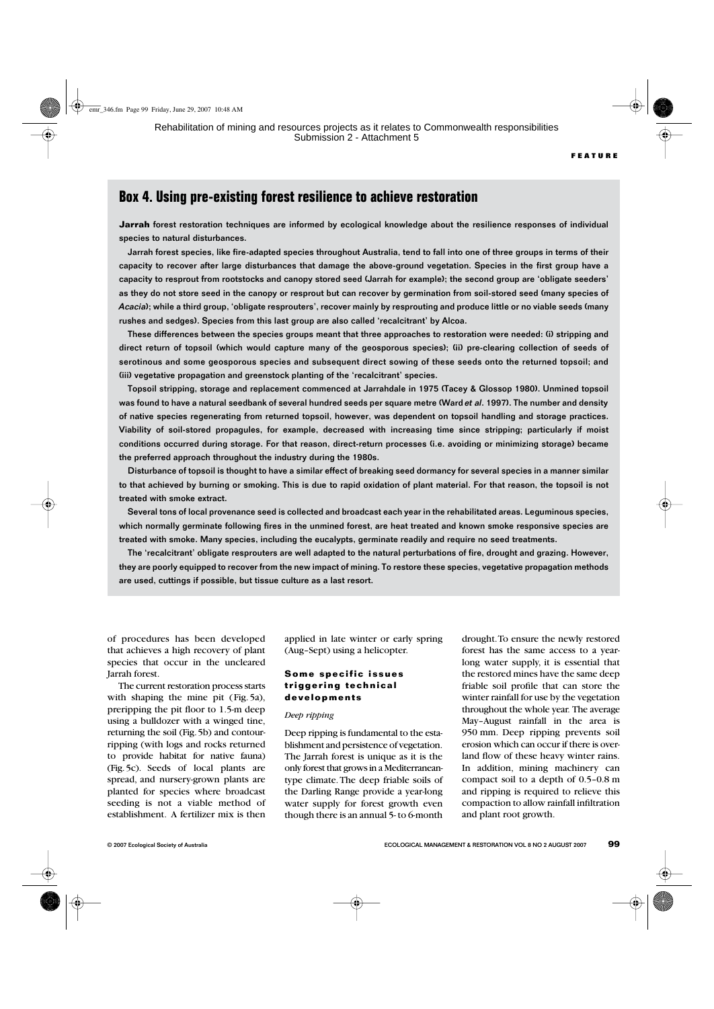# **Box 4. Using pre-existing forest resilience to achieve restoration**

**Jarrah** forest restoration techniques are informed by ecological knowledge about the resilience responses of individual species to natural disturbances.

Jarrah forest species, like fire-adapted species throughout Australia, tend to fall into one of three groups in terms of their capacity to recover after large disturbances that damage the above-ground vegetation. Species in the first group have a capacity to resprout from rootstocks and canopy stored seed (Jarrah for example); the second group are 'obligate seeders' as they do not store seed in the canopy or resprout but can recover by germination from soil-stored seed (many species of *Acacia*); while a third group, 'obligate resprouters', recover mainly by resprouting and produce little or no viable seeds (many rushes and sedges). Species from this last group are also called 'recalcitrant' by Alcoa.

These differences between the species groups meant that three approaches to restoration were needed: (i) stripping and direct return of topsoil (which would capture many of the geosporous species); (ii) pre-clearing collection of seeds of serotinous and some geosporous species and subsequent direct sowing of these seeds onto the returned topsoil; and (iii) vegetative propagation and greenstock planting of the 'recalcitrant' species.

Topsoil stripping, storage and replacement commenced at Jarrahdale in 1975 (Tacey & Glossop 1980). Unmined topsoil was found to have a natural seedbank of several hundred seeds per square metre (Ward *et al*. 1997). The number and density of native species regenerating from returned topsoil, however, was dependent on topsoil handling and storage practices. Viability of soil-stored propagules, for example, decreased with increasing time since stripping; particularly if moist conditions occurred during storage. For that reason, direct-return processes (i.e. avoiding or minimizing storage) became the preferred approach throughout the industry during the 1980s.

Disturbance of topsoil is thought to have a similar effect of breaking seed dormancy for several species in a manner similar to that achieved by burning or smoking. This is due to rapid oxidation of plant material. For that reason, the topsoil is not treated with smoke extract.

Several tons of local provenance seed is collected and broadcast each year in the rehabilitated areas. Leguminous species, which normally germinate following fires in the unmined forest, are heat treated and known smoke responsive species are treated with smoke. Many species, including the eucalypts, germinate readily and require no seed treatments.

The 'recalcitrant' obligate resprouters are well adapted to the natural perturbations of fire, drought and grazing. However, they are poorly equipped to recover from the new impact of mining. To restore these species, vegetative propagation methods are used, cuttings if possible, but tissue culture as a last resort.

of procedures has been developed that achieves a high recovery of plant species that occur in the uncleared Jarrah forest.

The current restoration process starts with shaping the mine pit (Fig. 5a), preripping the pit floor to 1.5-m deep using a bulldozer with a winged tine, returning the soil (Fig. 5b) and contourripping (with logs and rocks returned to provide habitat for native fauna) (Fig. 5c). Seeds of local plants are spread, and nursery-grown plants are planted for species where broadcast seeding is not a viable method of establishment. A fertilizer mix is then applied in late winter or early spring (Aug–Sept) using a helicopter.

### **Some specific issues triggering technical developments**

### *Deep ripping*

Deep ripping is fundamental to the establishment and persistence of vegetation. The Jarrah forest is unique as it is the only forest that grows in a Mediterraneantype climate. The deep friable soils of the Darling Range provide a year-long water supply for forest growth even though there is an annual 5- to 6-month

drought. To ensure the newly restored forest has the same access to a yearlong water supply, it is essential that the restored mines have the same deep friable soil profile that can store the winter rainfall for use by the vegetation throughout the whole year. The average May–August rainfall in the area is 950 mm. Deep ripping prevents soil erosion which can occur if there is overland flow of these heavy winter rains. In addition, mining machinery can compact soil to a depth of 0.5–0.8 m and ripping is required to relieve this compaction to allow rainfall infiltration and plant root growth.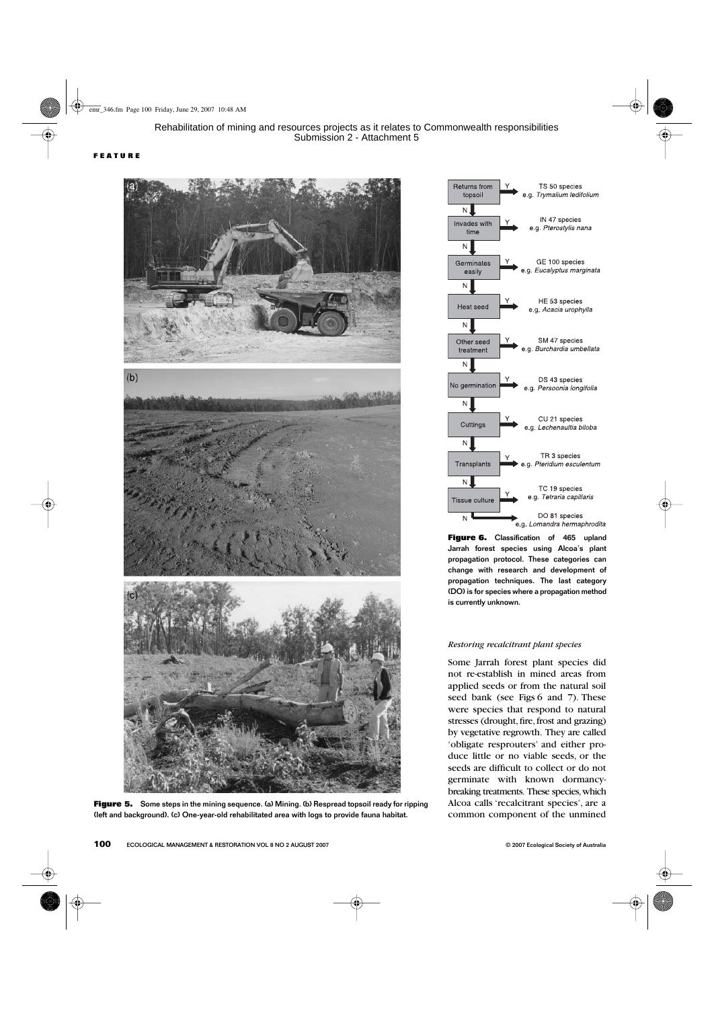# Rehabilitation of mining and resources projects as it relates to Commonwealth responsibilities<br>Submission 2 - Attachment 5



**Figure 5.** Some steps in the mining sequence. (a) Mining. (b) Respread topsoil ready for ripping (left and background). (c) One-year-old rehabilitated area with logs to provide fauna habitat.



**Figure 6.** Classification of 465 upland Jarrah forest species using Alcoa's plant propagation protocol. These categories can change with research and development of propagation techniques. The last category (DO) is for species where a propagation method is currently unknown.

### *Restoring recalcitrant plant species*

Some Jarrah forest plant species did not re-establish in mined areas from applied seeds or from the natural soil seed bank (see Figs 6 and 7). These were species that respond to natural stresses (drought, fire, frost and grazing) by vegetative regrowth. They are called 'obligate resprouters' and either produce little or no viable seeds, or the seeds are difficult to collect or do not germinate with known dormancybreaking treatments. These species, which Alcoa calls 'recalcitrant species', are a common component of the unmined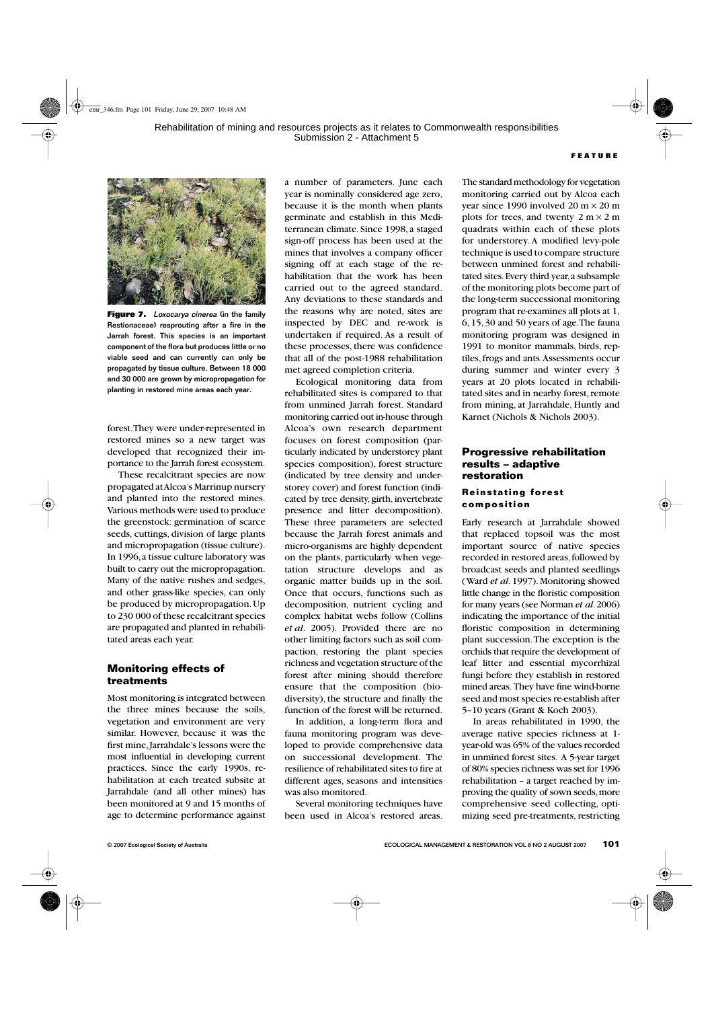

**Figure 7.** *Loxocarya cinerea* (in the family Restionaceae) resprouting after a fire in the Jarrah forest. This species is an important component of the flora but produces little or no viable seed and can currently can only be propagated by tissue culture. Between 18 000 and 30 000 are grown by micropropagation for planting in restored mine areas each year.

forest. They were under-represented in restored mines so a new target was developed that recognized their importance to the Jarrah forest ecosystem.

These recalcitrant species are now propagated at Alcoa's Marrinup nursery and planted into the restored mines. Various methods were used to produce the greenstock: germination of scarce seeds, cuttings, division of large plants and micropropagation (tissue culture). In 1996, a tissue culture laboratory was built to carry out the micropropagation. Many of the native rushes and sedges, and other grass-like species, can only be produced by micropropagation. Up to 230 000 of these recalcitrant species are propagated and planted in rehabilitated areas each year.

### **Monitoring effects of treatments**

Most monitoring is integrated between the three mines because the soils, vegetation and environment are very similar. However, because it was the first mine, Jarrahdale's lessons were the most influential in developing current practices. Since the early 1990s, rehabilitation at each treated subsite at Jarrahdale (and all other mines) has been monitored at 9 and 15 months of age to determine performance against

a number of parameters. June each year is nominally considered age zero, because it is the month when plants germinate and establish in this Mediterranean climate. Since 1998, a staged sign-off process has been used at the mines that involves a company officer signing off at each stage of the rehabilitation that the work has been carried out to the agreed standard. Any deviations to these standards and the reasons why are noted, sites are inspected by DEC and re-work is undertaken if required. As a result of these processes, there was confidence that all of the post-1988 rehabilitation met agreed completion criteria.

Ecological monitoring data from rehabilitated sites is compared to that from unmined Jarrah forest. Standard monitoring carried out in-house through Alcoa's own research department focuses on forest composition (particularly indicated by understorey plant species composition), forest structure (indicated by tree density and understorey cover) and forest function (indicated by tree density, girth, invertebrate presence and litter decomposition). These three parameters are selected because the Jarrah forest animals and micro-organisms are highly dependent on the plants, particularly when vegetation structure develops and as organic matter builds up in the soil. Once that occurs, functions such as decomposition, nutrient cycling and complex habitat webs follow (Collins *et al*. 2005). Provided there are no other limiting factors such as soil compaction, restoring the plant species richness and vegetation structure of the forest after mining should therefore ensure that the composition (biodiversity), the structure and finally the function of the forest will be returned.

In addition, a long-term flora and fauna monitoring program was developed to provide comprehensive data on successional development. The resilience of rehabilitated sites to fire at different ages, seasons and intensities was also monitored.

Several monitoring techniques have been used in Alcoa's restored areas. The standard methodology for vegetation monitoring carried out by Alcoa each year since 1990 involved 20 m × 20 m plots for trees, and twenty  $2 \text{ m} \times 2 \text{ m}$ quadrats within each of these plots for understorey. A modified levy-pole technique is used to compare structure between unmined forest and rehabilitated sites. Every third year, a subsample of the monitoring plots become part of the long-term successional monitoring program that re-examines all plots at 1, 6, 15, 30 and 50 years of age. The fauna monitoring program was designed in 1991 to monitor mammals, birds, reptiles, frogs and ants. Assessments occur during summer and winter every 3 years at 20 plots located in rehabilitated sites and in nearby forest, remote from mining, at Jarrahdale, Huntly and Karnet (Nichols & Nichols 2003).

### **Progressive rehabilitation results – adaptive restoration**

### **Reinstating forest composition**

Early research at Jarrahdale showed that replaced topsoil was the most important source of native species recorded in restored areas, followed by broadcast seeds and planted seedlings (Ward *et al*. 1997). Monitoring showed little change in the floristic composition for many years (see Norman *et al*. 2006) indicating the importance of the initial floristic composition in determining plant succession. The exception is the orchids that require the development of leaf litter and essential mycorrhizal fungi before they establish in restored mined areas. They have fine wind-borne seed and most species re-establish after 5–10 years (Grant & Koch 2003).

In areas rehabilitated in 1990, the average native species richness at 1 year-old was 65% of the values recorded in unmined forest sites. A 5-year target of 80% species richness was set for 1996 rehabilitation – a target reached by improving the quality of sown seeds, more comprehensive seed collecting, optimizing seed pre-treatments, restricting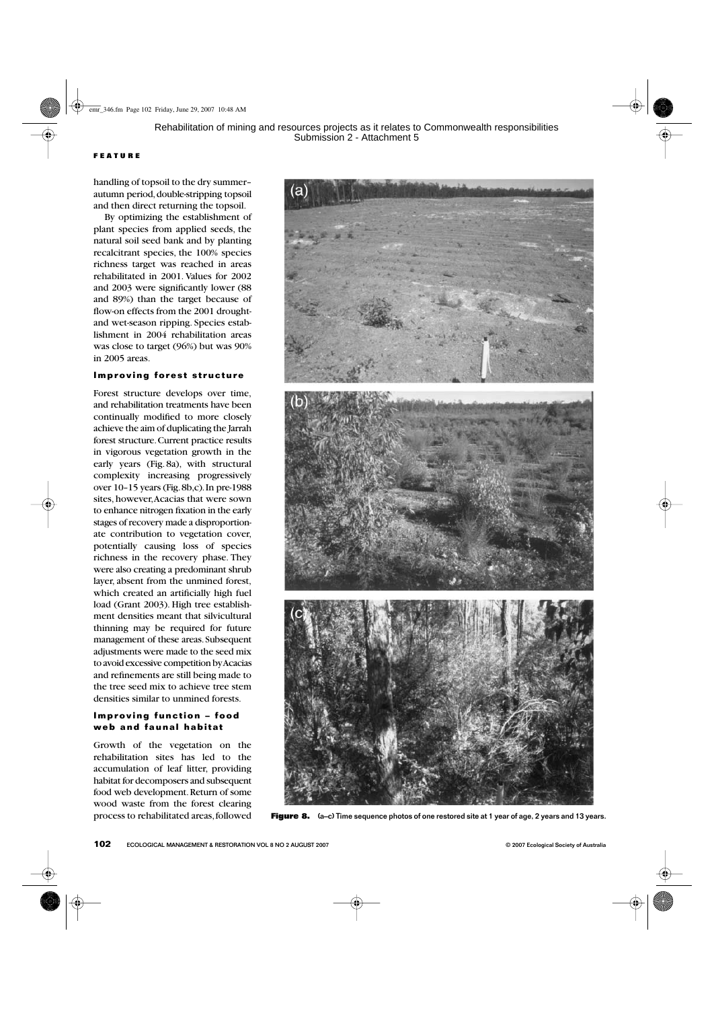#### **FEATURE**

handling of topsoil to the dry summer– autumn period, double-stripping topsoil and then direct returning the topsoil.

By optimizing the establishment of plant species from applied seeds, the natural soil seed bank and by planting recalcitrant species, the 100% species richness target was reached in areas rehabilitated in 2001. Values for 2002 and 2003 were significantly lower (88 and 89%) than the target because of flow-on effects from the 2001 droughtand wet-season ripping. Species establishment in 2004 rehabilitation areas was close to target (96%) but was 90% in 2005 areas.

### **Improving forest structure**

Forest structure develops over time, and rehabilitation treatments have been continually modified to more closely achieve the aim of duplicating the Jarrah forest structure. Current practice results in vigorous vegetation growth in the early years (Fig. 8a), with structural complexity increasing progressively over 10–15 years (Fig. 8b,c). In pre-1988 sites, however, Acacias that were sown to enhance nitrogen fixation in the early stages of recovery made a disproportionate contribution to vegetation cover, potentially causing loss of species richness in the recovery phase. They were also creating a predominant shrub layer, absent from the unmined forest, which created an artificially high fuel load (Grant 2003). High tree establishment densities meant that silvicultural thinning may be required for future management of these areas. Subsequent adjustments were made to the seed mix to avoid excessive competition by Acacias and refinements are still being made to the tree seed mix to achieve tree stem densities similar to unmined forests.

### **Improving function – food web and faunal habitat**

Growth of the vegetation on the rehabilitation sites has led to the accumulation of leaf litter, providing habitat for decomposers and subsequent food web development. Return of some wood waste from the forest clearing



process to rehabilitated areas, followed **Figure 8.** (a–c) Time sequence photos of one restored site at 1 year of age, 2 years and 13 years.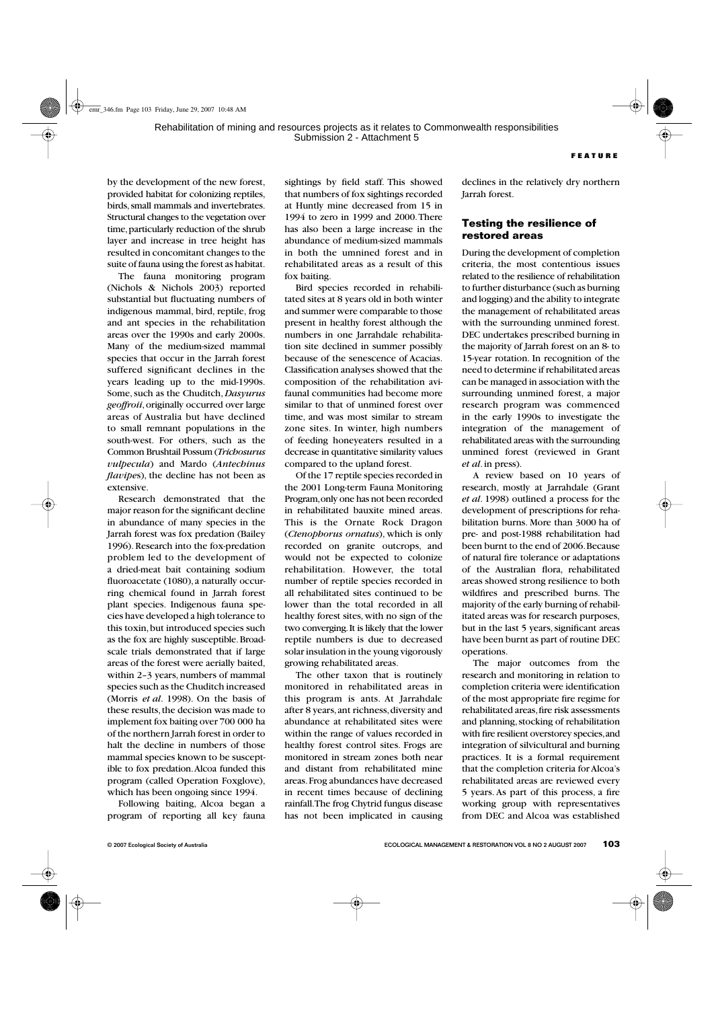by the development of the new forest, provided habitat for colonizing reptiles, birds, small mammals and invertebrates. Structural changes to the vegetation over time, particularly reduction of the shrub layer and increase in tree height has resulted in concomitant changes to the suite of fauna using the forest as habitat.

The fauna monitoring program (Nichols & Nichols 2003) reported substantial but fluctuating numbers of indigenous mammal, bird, reptile, frog and ant species in the rehabilitation areas over the 1990s and early 2000s. Many of the medium-sized mammal species that occur in the Jarrah forest suffered significant declines in the years leading up to the mid-1990s. Some, such as the Chuditch, *Dasyurus geoffroii*, originally occurred over large areas of Australia but have declined to small remnant populations in the south-west. For others, such as the Common Brushtail Possum (*Trichosurus vulpecula*) and Mardo (*Antechinus flavipe*s), the decline has not been as extensive.

Research demonstrated that the major reason for the significant decline in abundance of many species in the Jarrah forest was fox predation (Bailey 1996). Research into the fox-predation problem led to the development of a dried-meat bait containing sodium fluoroacetate (1080), a naturally occurring chemical found in Jarrah forest plant species. Indigenous fauna species have developed a high tolerance to this toxin, but introduced species such as the fox are highly susceptible. Broadscale trials demonstrated that if large areas of the forest were aerially baited, within 2–3 years, numbers of mammal species such as the Chuditch increased (Morris *et al*. 1998). On the basis of these results, the decision was made to implement fox baiting over 700 000 ha of the northern Jarrah forest in order to halt the decline in numbers of those mammal species known to be susceptible to fox predation. Alcoa funded this program (called Operation Foxglove), which has been ongoing since 1994.

Following baiting, Alcoa began a program of reporting all key fauna sightings by field staff. This showed that numbers of fox sightings recorded at Huntly mine decreased from 15 in 1994 to zero in 1999 and 2000. There has also been a large increase in the abundance of medium-sized mammals in both the umnined forest and in rehabilitated areas as a result of this fox baiting.

Bird species recorded in rehabilitated sites at 8 years old in both winter and summer were comparable to those present in healthy forest although the numbers in one Jarrahdale rehabilitation site declined in summer possibly because of the senescence of Acacias. Classification analyses showed that the composition of the rehabilitation avifaunal communities had become more similar to that of unmined forest over time, and was most similar to stream zone sites. In winter, high numbers of feeding honeyeaters resulted in a decrease in quantitative similarity values compared to the upland forest.

Of the 17 reptile species recorded in the 2001 Long-term Fauna Monitoring Program, only one has not been recorded in rehabilitated bauxite mined areas. This is the Ornate Rock Dragon (*Ctenophorus ornatus*), which is only recorded on granite outcrops, and would not be expected to colonize rehabilitation. However, the total number of reptile species recorded in all rehabilitated sites continued to be lower than the total recorded in all healthy forest sites, with no sign of the two converging. It is likely that the lower reptile numbers is due to decreased solar insulation in the young vigorously growing rehabilitated areas.

The other taxon that is routinely monitored in rehabilitated areas in this program is ants. At Jarrahdale after 8 years, ant richness, diversity and abundance at rehabilitated sites were within the range of values recorded in healthy forest control sites. Frogs are monitored in stream zones both near and distant from rehabilitated mine areas. Frog abundances have decreased in recent times because of declining rainfall. The frog Chytrid fungus disease has not been implicated in causing declines in the relatively dry northern Jarrah forest.

### **Testing the resilience of restored areas**

During the development of completion criteria, the most contentious issues related to the resilience of rehabilitation to further disturbance (such as burning and logging) and the ability to integrate the management of rehabilitated areas with the surrounding unmined forest. DEC undertakes prescribed burning in the majority of Jarrah forest on an 8- to 15-year rotation. In recognition of the need to determine if rehabilitated areas can be managed in association with the surrounding unmined forest, a major research program was commenced in the early 1990s to investigate the integration of the management of rehabilitated areas with the surrounding unmined forest (reviewed in Grant *et al*. in press).

A review based on 10 years of research, mostly at Jarrahdale (Grant *et al*. 1998) outlined a process for the development of prescriptions for rehabilitation burns. More than 3000 ha of pre- and post-1988 rehabilitation had been burnt to the end of 2006. Because of natural fire tolerance or adaptations of the Australian flora, rehabilitated areas showed strong resilience to both wildfires and prescribed burns. The majority of the early burning of rehabilitated areas was for research purposes, but in the last 5 years, significant areas have been burnt as part of routine DEC operations.

The major outcomes from the research and monitoring in relation to completion criteria were identification of the most appropriate fire regime for rehabilitated areas, fire risk assessments and planning, stocking of rehabilitation with fire resilient overstorey species, and integration of silvicultural and burning practices. It is a formal requirement that the completion criteria for Alcoa's rehabilitated areas are reviewed every 5 years. As part of this process, a fire working group with representatives from DEC and Alcoa was established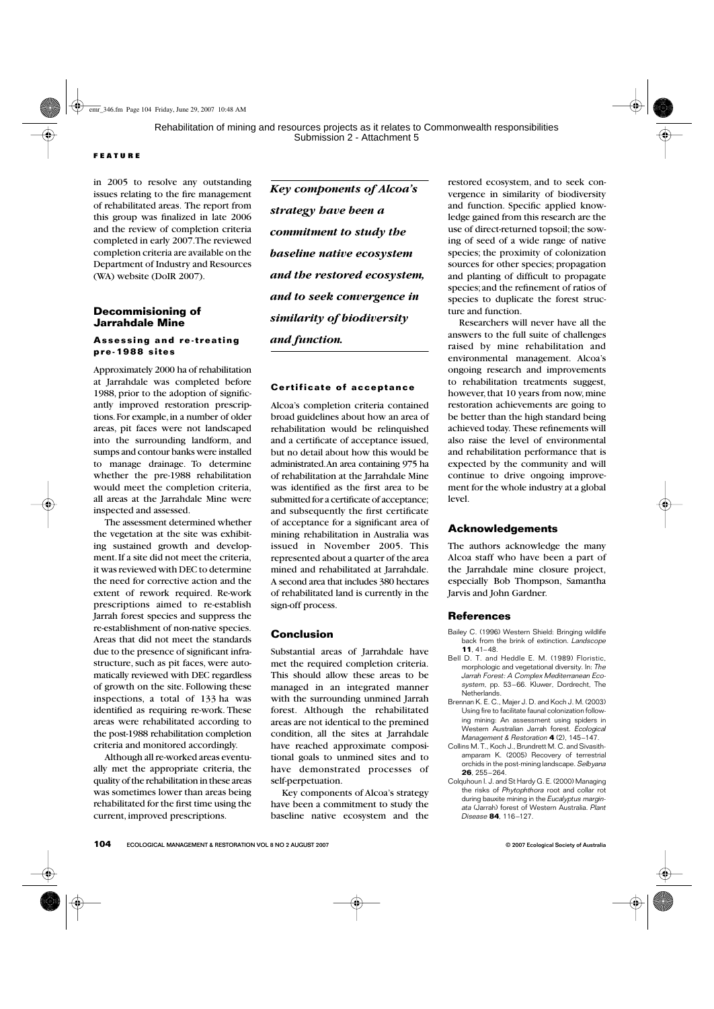in 2005 to resolve any outstanding issues relating to the fire management of rehabilitated areas. The report from this group was finalized in late 2006 and the review of completion criteria completed in early 2007. The reviewed completion criteria are available on the Department of Industry and Resources (WA) website (DoIR 2007).

# **Decommisioning of Jarrahdale Mine**

### **Assessing and re-treating pre-1988 sites**

Approximately 2000 ha of rehabilitation at Jarrahdale was completed before 1988, prior to the adoption of significantly improved restoration prescriptions. For example, in a number of older areas, pit faces were not landscaped into the surrounding landform, and sumps and contour banks were installed to manage drainage. To determine whether the pre-1988 rehabilitation would meet the completion criteria, all areas at the Jarrahdale Mine were inspected and assessed.

The assessment determined whether the vegetation at the site was exhibiting sustained growth and development. If a site did not meet the criteria, it was reviewed with DEC to determine the need for corrective action and the extent of rework required. Re-work prescriptions aimed to re-establish Jarrah forest species and suppress the re-establishment of non-native species. Areas that did not meet the standards due to the presence of significant infrastructure, such as pit faces, were automatically reviewed with DEC regardless of growth on the site. Following these inspections, a total of 133 ha was identified as requiring re-work. These areas were rehabilitated according to the post-1988 rehabilitation completion criteria and monitored accordingly.

Although all re-worked areas eventually met the appropriate criteria, the quality of the rehabilitation in these areas was sometimes lower than areas being rehabilitated for the first time using the current, improved prescriptions.

*Key components of Alcoa's strategy have been a commitment to study the baseline native ecosystem and the restored ecosystem, and to seek convergence in similarity of biodiversity and function.*

#### **Certificate of acceptance**

Alcoa's completion criteria contained broad guidelines about how an area of rehabilitation would be relinquished and a certificate of acceptance issued, but no detail about how this would be administrated. An area containing 975 ha of rehabilitation at the Jarrahdale Mine was identified as the first area to be submitted for a certificate of acceptance; and subsequently the first certificate of acceptance for a significant area of mining rehabilitation in Australia was issued in November 2005. This represented about a quarter of the area mined and rehabilitated at Jarrahdale. A second area that includes 380 hectares of rehabilitated land is currently in the sign-off process.

### **Conclusion**

Substantial areas of Jarrahdale have met the required completion criteria. This should allow these areas to be managed in an integrated manner with the surrounding unmined Jarrah forest. Although the rehabilitated areas are not identical to the premined condition, all the sites at Jarrahdale have reached approximate compositional goals to unmined sites and to have demonstrated processes of self-perpetuation.

Key components of Alcoa's strategy have been a commitment to study the baseline native ecosystem and the restored ecosystem, and to seek convergence in similarity of biodiversity and function. Specific applied knowledge gained from this research are the use of direct-returned topsoil; the sowing of seed of a wide range of native species; the proximity of colonization sources for other species; propagation and planting of difficult to propagate species; and the refinement of ratios of species to duplicate the forest structure and function.

Researchers will never have all the answers to the full suite of challenges raised by mine rehabilitation and environmental management. Alcoa's ongoing research and improvements to rehabilitation treatments suggest, however, that 10 years from now, mine restoration achievements are going to be better than the high standard being achieved today. These refinements will also raise the level of environmental and rehabilitation performance that is expected by the community and will continue to drive ongoing improvement for the whole industry at a global level.

### **Acknowledgements**

The authors acknowledge the many Alcoa staff who have been a part of the Jarrahdale mine closure project, especially Bob Thompson, Samantha Jarvis and John Gardner.

### **References**

- Bailey C. (1996) Western Shield: Bringing wildlife back from the brink of extinction. *Landscope* **11**, 41–48.
- Bell D. T. and Heddle E. M. (1989) Floristic, morphologic and vegetational diversity. In: *The Jarrah Forest: A Complex Mediterranean Ecosystem*, pp. 53–66. Kluwer, Dordrecht, The Netherlands.
- Brennan K. E. C., Majer J. D. and Koch J. M. (2003) Using fire to facilitate faunal colonization following mining: An assessment using spiders in Western Australian Jarrah forest. *Ecological Management & Restoration* **4** (2), 145–147.
- Collins M. T., Koch J., Brundrett M. C. and Sivasithamparam K. (2005) Recovery of terrestrial orchids in the post-mining landscape. *Selbyana* **26**, 255–264.
- Colquhoun I. J. and St Hardy G. E. (2000) Managing the risks of *Phytophthora* root and collar rot during bauxite mining in the *Eucalyptus marginata* (Jarrah) forest of Western Australia. *Plant Disease* **84**, 116–127.